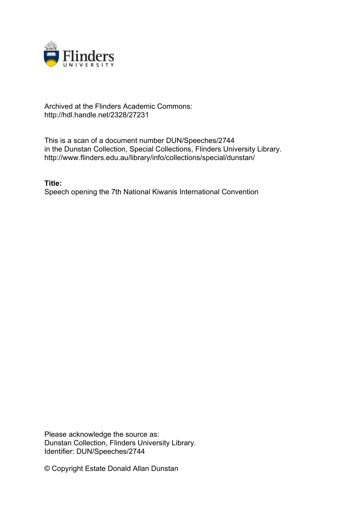

## Archived at the Flinders Academic Commons: http://hdl.handle.net/2328/27231

This is a scan of a document number DUN/Speeches/2744 in the Dunstan Collection, Special Collections, Flinders University Library. http://www.flinders.edu.au/library/info/collections/special/dunstan/

**Title:** Speech opening the 7th National Kiwanis International Convention

Please acknowledge the source as: Dunstan Collection, Flinders University Library. Identifier: DUN/Speeches/2744

© Copyright Estate Donald Allan Dunstan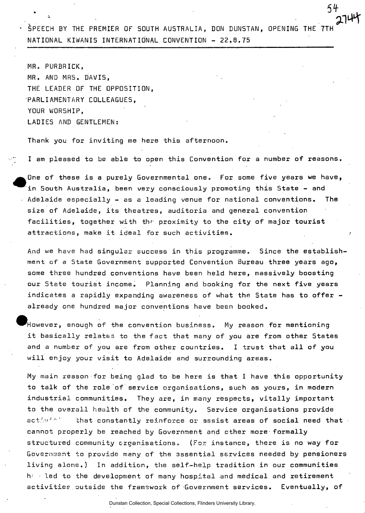$\cdot$  SPEECH BY THE PREMIER OF SOUTH AUSTRALIA, DON DUNSTAN, OPENING THE 7TH NATIONAL KIWANIS INTERNATIONAL CONVENTION - 22.8.75

*51-*

**3.T H** 

MR. PURBRICK, MR. AND MRS. DAVIS, THE LEADER OF THE OPPOSITION, PARLIAMENTARY COLLEAGUES, YOUR WORSHIP, LADIES AND GENTLEMEN:

Thank you for inviting me here this afternoon.

I am pleased to be able to open this Convention for a number of reasons.

One of these is a purely Governmental one. For some five years we have, in South Australia, been very consciously promoting this 5tate - and . Adelaide especially  $-$  as a leading venue for national conventions. The size of Adelaide, its theatres, auditoria and general convention facilities, together with the proximity to the city of major tourist attractions, make it ideal for such activities.

And we have had singular success in this programme. Since the establishment of a State Government supported Convention Bureau three years ago, some three hundred conventions have been held here, massively boosting our State tourist income. Planning and booking for the next five years indicates a rapidly expanding awareness of what the State has to offer already one hundred major conventions have been booked.

 $^\prime$ However, enough of the convention business.  $\,$  My reason for mentioning it basically relates to the fact that many of you are from other 5tates and a number of you are from other countries. I trust that all of you will enjoy your visit to Adelaide and surrounding areas.

My main reason for being glad to be here is that I have this opportunity to talk of the role of service organisations, such as yours, in modern industrial communities. They are, in many respects, vitally important to the overall health of the community. Service organisations provide activit  $\cdot$  that constantly reinforce or assist areas of social need that cannot properly be reached by Government and ether more formally structured community organisations. (For instance, there is no way for Government to provide many of the essential services needed by pensioners living alone.) In addition, the self-help tradition in our communities  $h \in \mathbb{R}$  led to the development of many hospital and medical and retirement activities outside the framework of Government services. Eventually, of

Dunstan Collection, Special Collections, Flinders University Library.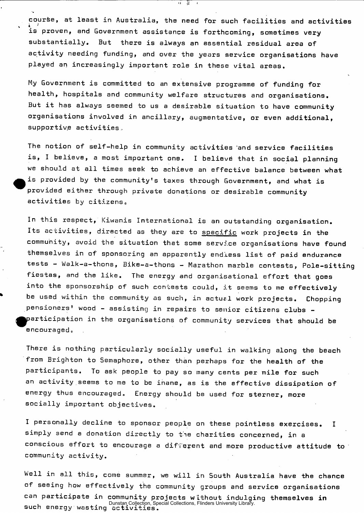course, at least in Australia, the need for such facilities and activities **V i . '**  is proven, and Government assistance is forthcoming, sometimes very substantially. But there is always an essential residual area of activity needing funding, and over the years service organisations have played an increasingly important role in these vital areas.

য়

My Government is committed to an extensive programme of funding for health, hospitals and community welfare structures and organisations. But it has always seemed to us a desirable situation to have community organisations involved in ancillary, augmentative, or even additional, supportive activities.

The notion of self-help in community activities and service facilities is, I believe, a most important one. I believe that in social planning we should at all times seek to achieve an effective balance between what is provided by the community's taxes through Government, and what is provided either through private donations or desirable community activities by citizens.

In this respect, Kiwanis International is an outstanding organisation. Its activities, directed as they are to specific work projects in the community, avoid the situation that some servi.ce organisations have found themselves in of sponsoring an apparently endless list of paid endurance tests - Walk-a-thons, Bike-a-thons - Marathon marble contests, Pole-sitting fiestas, and the like. The energy and organisational effort that goes into the sponsorship of such contests could, it seems to me effectively be used within the community as such, in actual work projects. Chopping pensioners' wood - assisting in repairs to senior citizens clubs participation in the organisations of community services that should be encouraged,,

There is nothing particularly socially useful in walking along the beach from Brighton to Semaphore, other than perhaps for the health of the participants. To ask people to pay so many cents per mile for such an activity seems to me to be inane, as is the effective dissipation of energy thus encouraged. Energy should be used for sterner, more socially important objectives.

I personally decline to sponsor people on these pointless exercises. I simply send a donation directly to the charities concerned, in a conscious effort to encourage a different and more productive attitude to community activity.

Well in all this, come summer, we will in South Australia have the chance of seeing how effectively the community groups and service organisations can participate in community projects without indulging themselves **in**  Dunstan Collection, Special Collections, Flinders University Library.<br>SUCh energy wasting activities.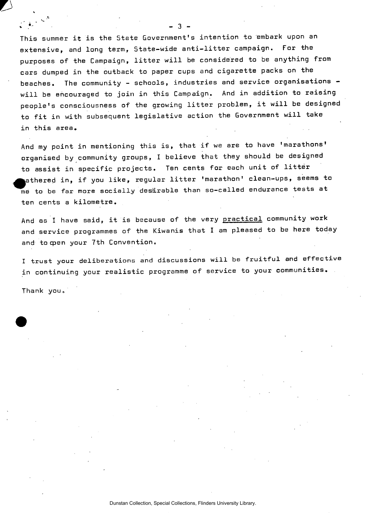This summer it is the State Government's intention to embark upon an extensive, and long term., State-wide anti-litter campaign. For the purposes of the Campaign, litter will be considered to be anything from cars dumped in the outback to paper cups and cigarette packs on the beaches. The community - schools, industries and service organisations will be encouraged to join in this Campaign. And in addition to raising people's consciousness of the growing litter problem, it will be designed to fit in with subsequent legislative action the Government will take in this area.

And my point in mentioning this is, that if we are to have 'marathons' organised by community groups, I believe that they should be designed to assist in specific projects. Ten cents for each unit of litter fathered in, if you like, regular litter 'marathon' clean-ups, seems to me to be far more socially desirable than so-called endurance tests at ten cents a kilometre.

And as I have said, it is because of the very practical community work and service programmes of the Kiwanis that I am pleased to be here today and to open your 7th Convention.

I trust your deliberations and discussions will be fruitful and effective in continuing your realistic programme of service to your communities.

Thank you.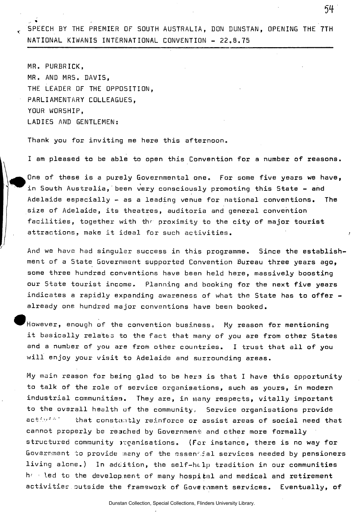SPEECH BY THE PREMIER OF SOUTH AUSTRALIA, DON DUNSTAN, OPENING THE 7TH NATIONAL KIWANIS INTERNATIONAL CONVENTION - 22.8.75

54

MR. PURBRICK, MR. AND MRS. DAVIS, THE LEADER OF THE OPPOSITION, PARLIAMENTARY COLLEAGUES, YOUR WORSHIP, LADIES AND GENTLEMEN:

%

Thank you for inviting me here this afternoon.

I am pleased to be able to open this Convention for a number of reasons.

One of these is a purely Governmental one. For some five years we have, in South Australia, been very consciously promoting this State - and Adelaide especially - as a leading venue for national conventions. The size of Adelaide, its theatres, auditoria and general convention facilities, together with the proximity to the city of major tourist attractions, make it ideal for such activities. 1

And we have had singular success in this programme. Since the establishment of a State Government supported Convention Bureau three years ago, some three hundred conventions have been held here, massively boosting our State tourist income. Planning and booking for the next five years indicates a rapidly expanding awareness of what the State has to offer  $$ already one hundred major conventions have been booked.

However, enough of the convention business. My reason for mentioning it basically relates to the fact that many of you are from other States and a number of you are from other countries. I trust that all of you will enjoy your visit to Adelaide and surrounding areas.

My main reason for being glad to be hers is that I have this opportunity to talk of the role of service organisations, such as yours, in modern industrial communities. They are, in many respects, vitally important to the overall health of the community, Service organisations provide activit" that constantly reinforce or assist areas of social need that cannot properly be reached by Government and other more formally structured community *inganisations.* (For instance, there is no way for Government to provide ineny of the rsssen' ial services needed by pensioners living alone.) In addition, the self-help tradition in our communities  $\mathsf{h}^\vee$  oled to the development of many hospi $t$ al and medical and retirement activities outside the framework of Government services. Eventually, of

Dunstan Collection, Special Collections, Flinders University Library.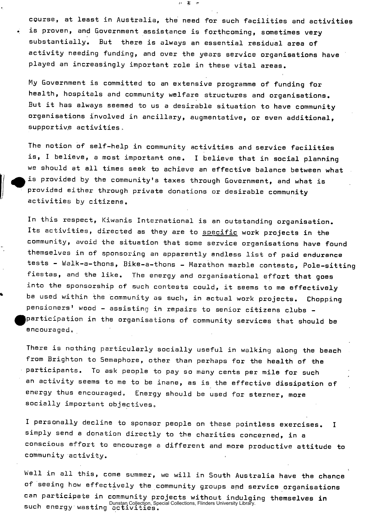course, at least in Australia, the need for such facilities and activities . is proven, and Government assistance is forthcoming, sometimes very substantially. But there is always an essential residual area of activity needing funding, and over the years service organisations have played an increasingly important role in these vital areas.

お 幕 田

My Government is committed to an extensive programme of funding for health, hospitals and community welfare structures and organisations. But it has always seemed to us a desirable situation to have community organisations involved in ancillary, augmentative, or even additional, supportive activities.

The notion of self-help in community activities and service facilities is, I believe, a most important one. I believe that in social planning we should at all times seek to achieve an effective balance between what is provided by the community's taxes through Government, and what is provided either through private donations or desirable community activities by citizens.

In this respect, Kiwanis International is an outstanding organisation. Its activities, directed as they are to specific work projects in the community, avoid the situation that some service organisations have found themselves in of sponsoring an apparently endless list of paid endurance tests - Walk-a-thons, Bike-a-thons - Marathon marble contests, Pole-sitting fiestas, and the like. The energy and organisational effort that goes into the sponsorship of such contests could, it seems to me effectively be used within the community as such, in actual work projects. Chopping pensioners' wood - assisting in repairs to senior citizens clubs participation in the organisations of community services that should be encouraged,

There is nothing particularly socially useful in walking along the beach from Brighton to Semaphore, other than perhaps for the health of the participants. To ask people to pay so many cents per mile for such an activity seems to me to be inane, as is the effective dissipation of energy thus encouraged. Energy should be used for sterner, more socially important objectives,

I personally decline to sponsor people on these pointless exercises. I simply send a donation directly to the charities concerned, in a conscious effort to encourage a different and more productive attitude to community activity.

Well in all this, come summer, we will in South Australia have the chance of seeing how effectively the community groups apd service organisations can participate in community projects without indulging themselves in Dunstan Collection, Special Collections, Flinders University Library.<br>Such energy wasting activities.